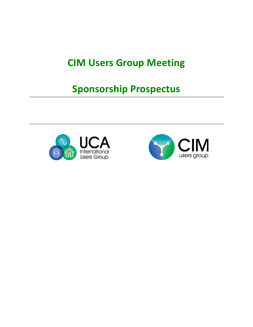## **CIM Users Group Meeting**

## **Sponsorship Prospectus**



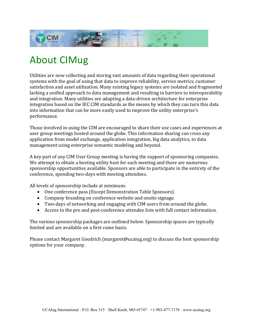

# About CIMug

Utilities are now collecting and storing vast amounts of data regarding their operational systems with the goal of using that data to improve reliability, service metrics, customer satisfaction and asset utilization. Many existing legacy systems are isolated and fragmented lacking a unified approach to data management and resulting in barriers to interoperability and integration. Many utilities are adapting a data-driven architecture for enterprise integration based on the IEC CIM standards as the means by which they can turn this data into information that can be more easily used to improve the utility enterprise's performance.

Those involved in using the CIM are encouraged to share their use cases and experiences at user group meetings hosted around the globe. This information sharing can cross any application from model exchange, application integration, big data analytics, to data management using enterprise semantic modeling and beyond.

A key part of any CIM User Group meeting is having the support of sponsoring companies. We attempt to obtain a hosting utility host for each meeting and there are numerous sponsorship opportunities available. Sponsors are able to participate in the entirety of the conference, spending two-days with meeting attendees.

All levels of sponsorship include at minimum:

- One conference pass (Except Demonstration Table Sponsors).
- Company branding on conference website and onsite signage.
- Two-days of networking and engaging with CIM users from around the globe.
- Access to the pre and post-conference attendee lists with full contact information.

The various sponsorship packages are outlined below. Sponsorship spaces are typically limited and are available on a first come basis.

Please contact Margaret Goodrich (margaret@ucaiug.org) to discuss the best sponsorship options for your company.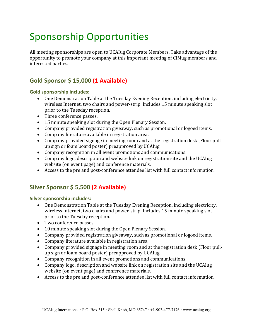# Sponsorship Opportunities

All meeting sponsorships are open to UCAIug Corporate Members. Take advantage of the opportunity to promote your company at this important meeting of CIMug members and interested parties.

## **Gold Sponsor \$ 15,000 (1 Available)**

#### **Gold sponsorship includes:**

- One Demonstration Table at the Tuesday Evening Reception, including electricity, wireless Internet, two chairs and power-strip. Includes 15 minute speaking slot prior to the Tuesday reception.
- Three conference passes.
- 15 minute speaking slot during the Open Plenary Session.
- Company provided registration giveaway, such as promotional or logoed items.
- Company literature available in registration area.
- Company provided signage in meeting room and at the registration desk (Floor pullup sign or foam board poster) preapproved by UCAIug.
- Company recognition in all event promotions and communications.
- Company logo, description and website link on registration site and the UCAIug website (on event page) and conference materials.
- Access to the pre and post-conference attendee list with full contact information.

### **Silver Sponsor \$ 5,500 (2 Available)**

#### **Silver sponsorship includes:**

- One Demonstration Table at the Tuesday Evening Reception, including electricity, wireless Internet, two chairs and power-strip. Includes 15 minute speaking slot prior to the Tuesday reception.
- Two conference passes.
- 10 minute speaking slot during the Open Plenary Session.
- Company provided registration giveaway, such as promotional or logoed items.
- Company literature available in registration area.
- Company provided signage in meeting room and at the registration desk (Floor pullup sign or foam board poster) preapproved by UCAIug.
- Company recognition in all event promotions and communications.
- Company logo, description and website link on registration site and the UCAIug website (on event page) and conference materials.
- Access to the pre and post-conference attendee list with full contact information.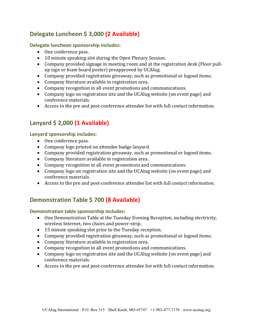## **Delegate Luncheon \$ 3,000 (2 Available)**

#### **Delegate luncheon sponsorship includes:**

- One conference pass.
- 10 minute speaking slot during the Open Plenary Session.
- Company provided signage in meeting room and at the registration desk (Floor pullup sign or foam board poster) preapproved by UCAIug.
- Company provided registration giveaway, such as promotional or logoed items.
- Company literature available in registration area.
- Company recognition in all event promotions and communications.
- Company logo on registration site and the UCAIug website (on event page) and conference materials.
- Access to the pre and post-conference attendee list with full contact information.

### **Lanyard \$ 2,000 (1 Available)**

#### **Lanyard sponsorship includes:**

- One conference pass.
- Company logo printed on attendee badge lanyard.
- Company provided registration giveaway, such as promotional or logoed items.
- Company literature available in registration area.
- Company recognition in all event promotions and communications.
- Company logo on registration site and the UCAIug website (on event page) and conference materials.
- Access to the pre and post-conference attendee list with full contact information.

### **Demonstration Table \$ 700 (8 Available)**

#### **Demonstration table sponsorship includes:**

- One Demonstration Table at the Tuesday Evening Reception, including electricity, wireless Internet, two chairs and power-strip.
- 15 minute speaking slot prior to the Tuesday reception.
- Company provided registration giveaway, such as promotional or logoed items.
- Company literature available in registration area.
- Company recognition in all event promotions and communications.
- Company logo on registration site and the UCAIug website (on event page) and conference materials.
- Access to the pre and post-conference attendee list with full contact information.